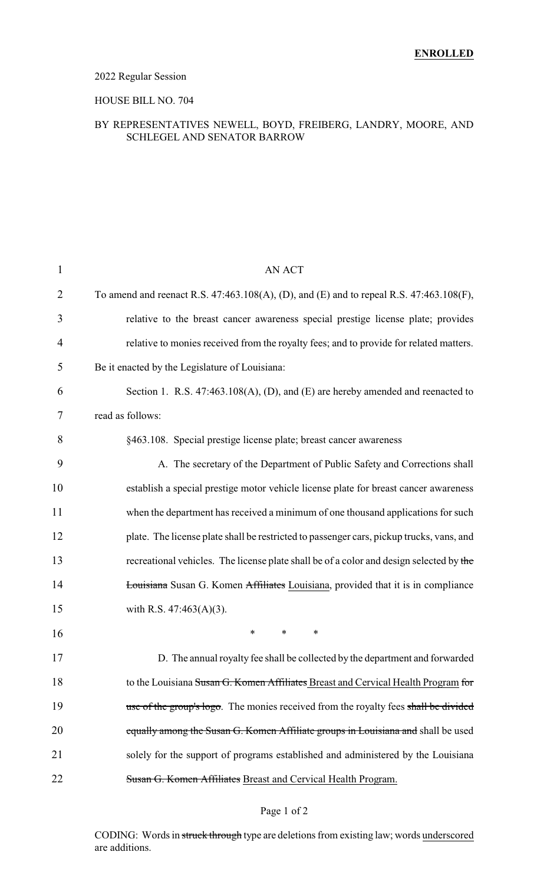## 2022 Regular Session

### HOUSE BILL NO. 704

#### BY REPRESENTATIVES NEWELL, BOYD, FREIBERG, LANDRY, MOORE, AND SCHLEGEL AND SENATOR BARROW

| 1  | AN ACT                                                                                        |
|----|-----------------------------------------------------------------------------------------------|
| 2  | To amend and reenact R.S. $47:463.108(A)$ , (D), and (E) and to repeal R.S. $47:463.108(F)$ , |
| 3  | relative to the breast cancer awareness special prestige license plate; provides              |
| 4  | relative to monies received from the royalty fees; and to provide for related matters.        |
| 5  | Be it enacted by the Legislature of Louisiana:                                                |
| 6  | Section 1. R.S. 47:463.108(A), (D), and (E) are hereby amended and reenacted to               |
| 7  | read as follows:                                                                              |
| 8  | §463.108. Special prestige license plate; breast cancer awareness                             |
| 9  | A. The secretary of the Department of Public Safety and Corrections shall                     |
| 10 | establish a special prestige motor vehicle license plate for breast cancer awareness          |
| 11 | when the department has received a minimum of one thousand applications for such              |
| 12 | plate. The license plate shall be restricted to passenger cars, pickup trucks, vans, and      |
| 13 | recreational vehicles. The license plate shall be of a color and design selected by the       |
| 14 | <b>Louisiana</b> Susan G. Komen Affiliates Louisiana, provided that it is in compliance       |
| 15 | with R.S. $47:463(A)(3)$ .                                                                    |
| 16 | *<br>*<br>∗                                                                                   |
| 17 | D. The annual royalty fee shall be collected by the department and forwarded                  |
| 18 | to the Louisiana Susan G. Komen Affiliates Breast and Cervical Health Program for             |
| 19 | use of the group's logo. The monies received from the royalty fees shall be divided           |
| 20 | equally among the Susan G. Komen Affiliate groups in Louisiana and shall be used              |
| 21 | solely for the support of programs established and administered by the Louisiana              |
| 22 | Susan G. Komen Affiliates Breast and Cervical Health Program.                                 |
|    |                                                                                               |

### Page 1 of 2

CODING: Words in struck through type are deletions from existing law; words underscored are additions.